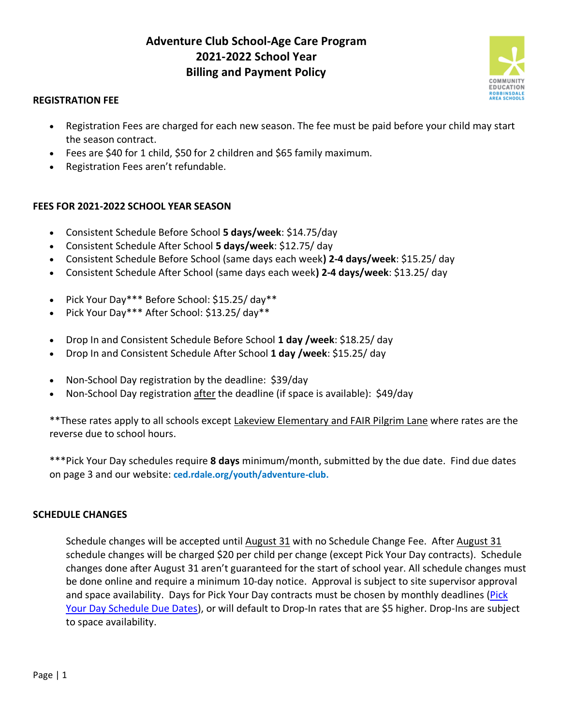# **Adventure Club School-Age Care Program 2021-2022 School Year Billing and Payment Policy**



# **REGISTRATION FEE**

- Registration Fees are charged for each new season. The fee must be paid before your child may start the season contract.
- Fees are \$40 for 1 child, \$50 for 2 children and \$65 family maximum.
- Registration Fees aren't refundable.

# **FEES FOR 2021-2022 SCHOOL YEAR SEASON**

- Consistent Schedule Before School **5 days/week**: \$14.75/day
- Consistent Schedule After School **5 days/week**: \$12.75/ day
- Consistent Schedule Before School (same days each week**) 2-4 days/week**: \$15.25/ day
- Consistent Schedule After School (same days each week**) 2-4 days/week**: \$13.25/ day
- Pick Your Day\*\*\* Before School: \$15.25/ day\*\*
- Pick Your Day\*\*\* After School: \$13.25/ day\*\*
- Drop In and Consistent Schedule Before School **1 day /week**: \$18.25/ day
- Drop In and Consistent Schedule After School **1 day /week**: \$15.25/ day
- Non-School Day registration by the deadline: \$39/day
- Non-School Day registration after the deadline (if space is available): \$49/day

\*\*These rates apply to all schools except Lakeview Elementary and FAIR Pilgrim Lane where rates are the reverse due to school hours.

\*\*\*Pick Your Day schedules require **8 days** minimum/month, submitted by the due date. Find due dates on page 3 and our website: **ced.rdale.org/youth/adventure-club.**

# **SCHEDULE CHANGES**

Schedule changes will be accepted until August 31 with no Schedule Change Fee. After August 31 schedule changes will be charged \$20 per child per change (except Pick Your Day contracts). Schedule changes done after August 31 aren't guaranteed for the start of school year. All schedule changes must be done online and require a minimum 10-day notice. Approval is subject to site supervisor approval and space availability. Days for Pick Your Day contracts must be chosen by monthly deadlines (Pick [Your Day Schedule Due Dates\)](https://docs.google.com/document/d/1y8AVoKT1eydtaxfn6ihvuEKe1n4vB2Kx8SoPsJbop5g/edit?usp=sharing), or will default to Drop-In rates that are \$5 higher. Drop-Ins are subject to space availability.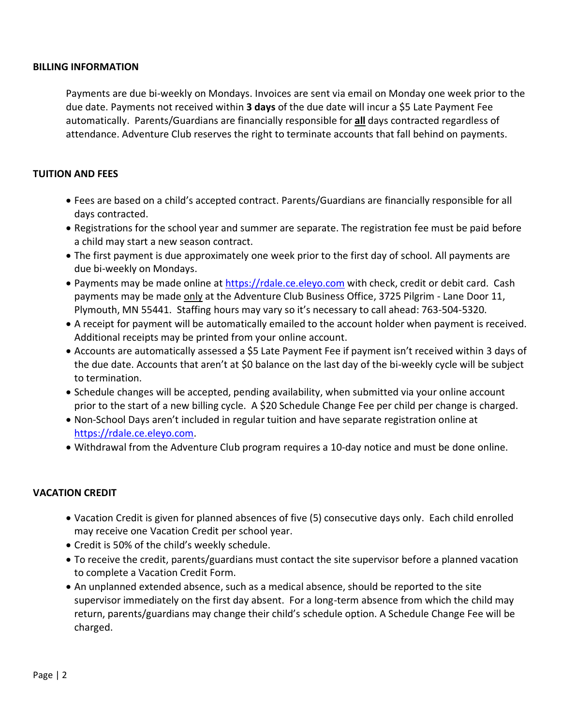#### **BILLING INFORMATION**

Payments are due bi-weekly on Mondays. Invoices are sent via email on Monday one week prior to the due date. Payments not received within **3 days** of the due date will incur a \$5 Late Payment Fee automatically. Parents/Guardians are financially responsible for **all** days contracted regardless of attendance. Adventure Club reserves the right to terminate accounts that fall behind on payments.

# **TUITION AND FEES**

- Fees are based on a child's accepted contract. Parents/Guardians are financially responsible for all days contracted.
- Registrations for the school year and summer are separate. The registration fee must be paid before a child may start a new season contract.
- The first payment is due approximately one week prior to the first day of school. All payments are due bi-weekly on Mondays.
- Payments may be made online at [https://rdale.ce.eleyo.com](https://rdale.ce.eleyo.com/) with check, credit or debit card. Cash payments may be made only at the Adventure Club Business Office, 3725 Pilgrim - Lane Door 11, Plymouth, MN 55441. Staffing hours may vary so it's necessary to call ahead: 763-504-5320.
- A receipt for payment will be automatically emailed to the account holder when payment is received. Additional receipts may be printed from your online account.
- Accounts are automatically assessed a \$5 Late Payment Fee if payment isn't received within 3 days of the due date. Accounts that aren't at \$0 balance on the last day of the bi-weekly cycle will be subject to termination.
- Schedule changes will be accepted, pending availability, when submitted via your online account prior to the start of a new billing cycle. A \$20 Schedule Change Fee per child per change is charged.
- Non-School Days aren't included in regular tuition and have separate registration online at [https://rdale.ce.eleyo.com.](https://rdale.ce.eleyo.com/)
- Withdrawal from the Adventure Club program requires a 10-day notice and must be done online.

# **VACATION CREDIT**

- Vacation Credit is given for planned absences of five (5) consecutive days only. Each child enrolled may receive one Vacation Credit per school year.
- Credit is 50% of the child's weekly schedule.
- To receive the credit, parents/guardians must contact the site supervisor before a planned vacation to complete a Vacation Credit Form.
- An unplanned extended absence, such as a medical absence, should be reported to the site supervisor immediately on the first day absent. For a long-term absence from which the child may return, parents/guardians may change their child's schedule option. A Schedule Change Fee will be charged.